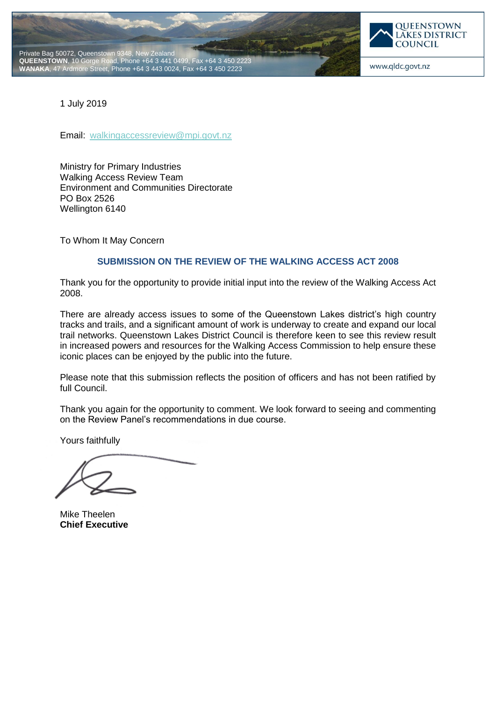



www.qldc.govt.nz

1 July 2019

Email: [walkingaccessreview@mpi.govt.nz](mailto:walkingaccessreview@mpi.govt.nz)

Ministry for Primary Industries Walking Access Review Team Environment and Communities Directorate PO Box 2526 Wellington 6140

To Whom It May Concern

# **SUBMISSION ON THE REVIEW OF THE WALKING ACCESS ACT 2008**

Thank you for the opportunity to provide initial input into the review of the Walking Access Act 2008.

There are already access issues to some of the Queenstown Lakes district's high country tracks and trails, and a significant amount of work is underway to create and expand our local trail networks. Queenstown Lakes District Council is therefore keen to see this review result in increased powers and resources for the Walking Access Commission to help ensure these iconic places can be enjoyed by the public into the future.

Please note that this submission reflects the position of officers and has not been ratified by full Council.

Thank you again for the opportunity to comment. We look forward to seeing and commenting on the Review Panel's recommendations in due course.

Yours faithfully

Mike Theelen **Chief Executive**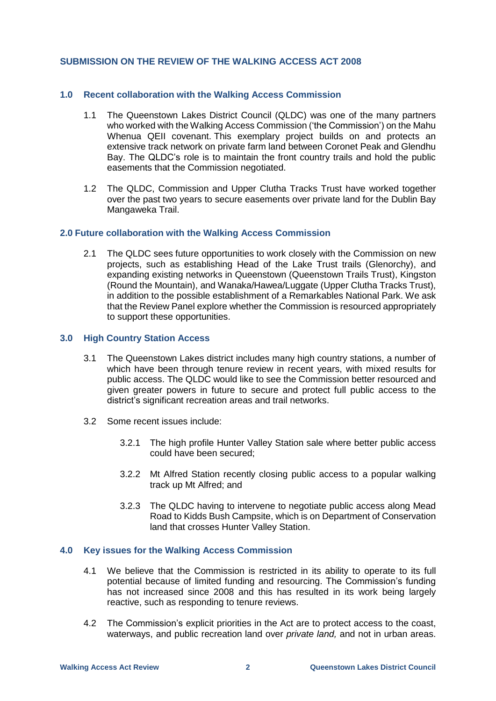### **SUBMISSION ON THE REVIEW OF THE WALKING ACCESS ACT 2008**

### **1.0 Recent collaboration with the Walking Access Commission**

- 1.1 The Queenstown Lakes District Council (QLDC) was one of the many partners who worked with the Walking Access Commission ('the Commission') on the Mahu Whenua QEII covenant. This exemplary project builds on and protects an extensive track network on private farm land between Coronet Peak and Glendhu Bay. The QLDC's role is to maintain the front country trails and hold the public easements that the Commission negotiated.
- 1.2 The QLDC, Commission and Upper Clutha Tracks Trust have worked together over the past two years to secure easements over private land for the Dublin Bay Mangaweka Trail.

#### **2.0 Future collaboration with the Walking Access Commission**

2.1 The QLDC sees future opportunities to work closely with the Commission on new projects, such as establishing Head of the Lake Trust trails (Glenorchy), and expanding existing networks in Queenstown (Queenstown Trails Trust), Kingston (Round the Mountain), and Wanaka/Hawea/Luggate (Upper Clutha Tracks Trust), in addition to the possible establishment of a Remarkables National Park. We ask that the Review Panel explore whether the Commission is resourced appropriately to support these opportunities.

#### **3.0 High Country Station Access**

- 3.1 The Queenstown Lakes district includes many high country stations, a number of which have been through tenure review in recent years, with mixed results for public access. The QLDC would like to see the Commission better resourced and given greater powers in future to secure and protect full public access to the district's significant recreation areas and trail networks.
- 3.2 Some recent issues include:
	- 3.2.1 The high profile Hunter Valley Station sale where better public access could have been secured;
	- 3.2.2 Mt Alfred Station recently closing public access to a popular walking track up Mt Alfred; and
	- 3.2.3 The QLDC having to intervene to negotiate public access along Mead Road to Kidds Bush Campsite, which is on Department of Conservation land that crosses Hunter Valley Station.

### **4.0 Key issues for the Walking Access Commission**

- 4.1 We believe that the Commission is restricted in its ability to operate to its full potential because of limited funding and resourcing. The Commission's funding has not increased since 2008 and this has resulted in its work being largely reactive, such as responding to tenure reviews.
- 4.2 The Commission's explicit priorities in the Act are to protect access to the coast, waterways, and public recreation land over *private land,* and not in urban areas.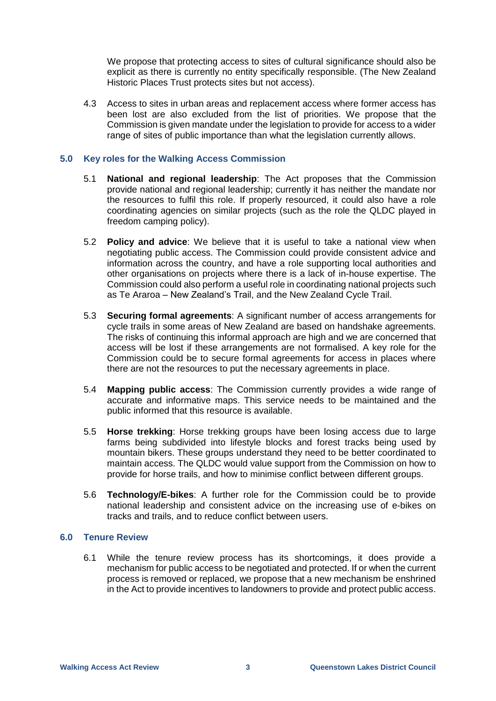We propose that protecting access to sites of cultural significance should also be explicit as there is currently no entity specifically responsible. (The New Zealand Historic Places Trust protects sites but not access).

4.3 Access to sites in urban areas and replacement access where former access has been lost are also excluded from the list of priorities. We propose that the Commission is given mandate under the legislation to provide for access to a wider range of sites of public importance than what the legislation currently allows.

# **5.0 Key roles for the Walking Access Commission**

- 5.1 **National and regional leadership**: The Act proposes that the Commission provide national and regional leadership; currently it has neither the mandate nor the resources to fulfil this role. If properly resourced, it could also have a role coordinating agencies on similar projects (such as the role the QLDC played in freedom camping policy).
- 5.2 **Policy and advice**: We believe that it is useful to take a national view when negotiating public access. The Commission could provide consistent advice and information across the country, and have a role supporting local authorities and other organisations on projects where there is a lack of in-house expertise. The Commission could also perform a useful role in coordinating national projects such as Te Araroa – New Zealand's Trail, and the New Zealand Cycle Trail.
- 5.3 **Securing formal agreements**: A significant number of access arrangements for cycle trails in some areas of New Zealand are based on handshake agreements. The risks of continuing this informal approach are high and we are concerned that access will be lost if these arrangements are not formalised. A key role for the Commission could be to secure formal agreements for access in places where there are not the resources to put the necessary agreements in place.
- 5.4 **Mapping public access**: The Commission currently provides a wide range of accurate and informative maps. This service needs to be maintained and the public informed that this resource is available.
- 5.5 **Horse trekking**: Horse trekking groups have been losing access due to large farms being subdivided into lifestyle blocks and forest tracks being used by mountain bikers. These groups understand they need to be better coordinated to maintain access. The QLDC would value support from the Commission on how to provide for horse trails, and how to minimise conflict between different groups.
- 5.6 **Technology/E-bikes**: A further role for the Commission could be to provide national leadership and consistent advice on the increasing use of e-bikes on tracks and trails, and to reduce conflict between users.

### **6.0 Tenure Review**

6.1 While the tenure review process has its shortcomings, it does provide a mechanism for public access to be negotiated and protected. If or when the current process is removed or replaced, we propose that a new mechanism be enshrined in the Act to provide incentives to landowners to provide and protect public access.